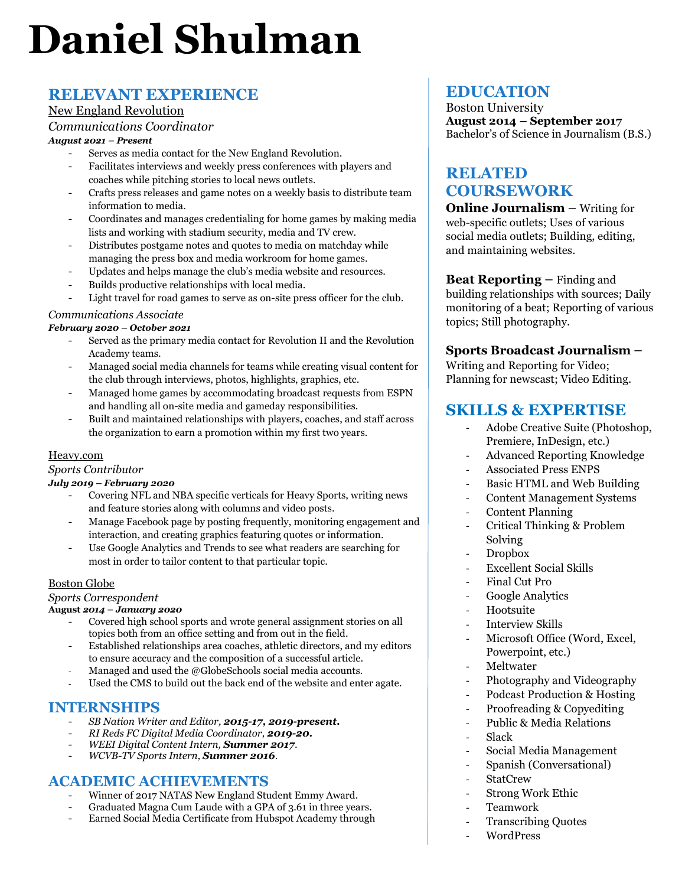# **Daniel Shulman**

## **RELEVANT EXPERIENCE**

#### New England Revolution

*Communications Coordinator*

#### *August 2021 – Present*

- Serves as media contact for the New England Revolution.
- Facilitates interviews and weekly press conferences with players and coaches while pitching stories to local news outlets.
- Crafts press releases and game notes on a weekly basis to distribute team information to media.
- Coordinates and manages credentialing for home games by making media lists and working with stadium security, media and TV crew.
- Distributes postgame notes and quotes to media on matchday while managing the press box and media workroom for home games.
- Updates and helps manage the club's media website and resources.
- Builds productive relationships with local media.
- Light travel for road games to serve as on-site press officer for the club.

#### *Communications Associate*

#### *February 2020 – October 2021*

- Served as the primary media contact for Revolution II and the Revolution Academy teams.
- Managed social media channels for teams while creating visual content for the club through interviews, photos, highlights, graphics, etc.
- Managed home games by accommodating broadcast requests from ESPN and handling all on-site media and gameday responsibilities.
- Built and maintained relationships with players, coaches, and staff across the organization to earn a promotion within my first two years.

#### Heavy.com

*Sports Contributor*

#### *July 2019 – February 2020*

- Covering NFL and NBA specific verticals for Heavy Sports, writing news and feature stories along with columns and video posts.
- Manage Facebook page by posting frequently, monitoring engagement and interaction, and creating graphics featuring quotes or information.
- Use Google Analytics and Trends to see what readers are searching for most in order to tailor content to that particular topic.

#### Boston Globe

#### *Sports Correspondent*

#### **August** *2014 – January 2020*

- Covered high school sports and wrote general assignment stories on all topics both from an office setting and from out in the field.
- Established relationships area coaches, athletic directors, and my editors to ensure accuracy and the composition of a successful article.
- Managed and used the @GlobeSchools social media accounts.
- Used the CMS to build out the back end of the website and enter agate.

#### **INTERNSHIPS**

- *SB Nation Writer and Editor, 2015-17, 2019-present.*
- *RI Reds FC Digital Media Coordinator, 2019-20.*
- *WEEI Digital Content Intern, Summer 2017*.
- *WCVB-TV Sports Intern, Summer 2016*.

### **ACADEMIC ACHIEVEMENTS**

- Winner of 2017 NATAS New England Student Emmy Award.
- Graduated Magna Cum Laude with a GPA of 3.61 in three years.
- Earned Social Media Certificate from Hubspot Academy through

## **EDUCATION**

Boston University **August 2014 – September 2017** Bachelor's of Science in Journalism (B.S.)

## **RELATED COURSEWORK**

**Online Journalism** – Writing for web-specific outlets; Uses of various social media outlets; Building, editing, and maintaining websites.

**Beat Reporting** – Finding and building relationships with sources; Daily monitoring of a beat; Reporting of various topics; Still photography.

## **Sports Broadcast Journalism** –

Writing and Reporting for Video; Planning for newscast; Video Editing.

## **SKILLS & EXPERTISE**

- Adobe Creative Suite (Photoshop, Premiere, InDesign, etc.)
- Advanced Reporting Knowledge
- Associated Press ENPS
- Basic HTML and Web Building
- Content Management Systems
- Content Planning
- Critical Thinking & Problem Solving
- Dropbox
- Excellent Social Skills
- Final Cut Pro
- Google Analytics
- Hootsuite
- Interview Skills
- Microsoft Office (Word, Excel, Powerpoint, etc.)
- Meltwater
- Photography and Videography
- Podcast Production & Hosting
- Proofreading & Copyediting
- Public & Media Relations - Slack
- Social Media Management
- Spanish (Conversational)
- StatCrew
- Strong Work Ethic
- Teamwork
- Transcribing Quotes
- WordPress